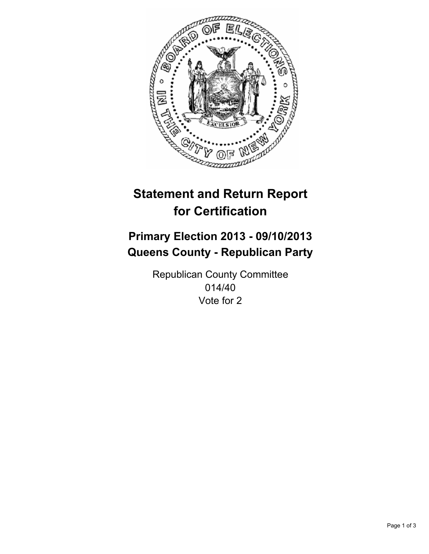

# **Statement and Return Report for Certification**

# **Primary Election 2013 - 09/10/2013 Queens County - Republican Party**

Republican County Committee 014/40 Vote for 2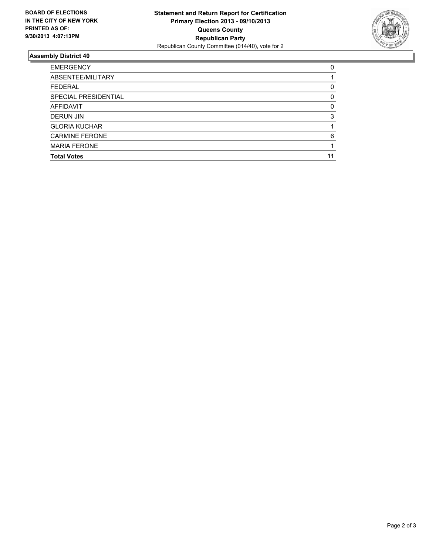

## **Assembly District 40**

| ABSENTEE/MILITARY     |    |
|-----------------------|----|
|                       |    |
| <b>FEDERAL</b>        | 0  |
| SPECIAL PRESIDENTIAL  | 0  |
| <b>AFFIDAVIT</b>      | 0  |
| <b>DERUN JIN</b>      | 3  |
| <b>GLORIA KUCHAR</b>  |    |
| <b>CARMINE FERONE</b> | 6  |
| <b>MARIA FERONE</b>   |    |
| <b>Total Votes</b>    | 11 |